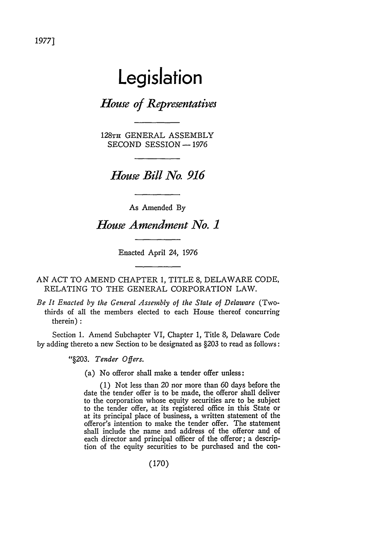# **Legislation**

*House of Representatives*

128TH GENERAL ASSEMBLY **SECOND SESSION - 1976**

*House Bill No. 916*

As Amended By

*House Amendment No. 1*

Enacted April 24, 1976

### AN ACT TO AMEND CHAPTER 1, TITLE 8, DELAWARE CODE, RELATING TO THE GENERAL CORPORATION LAW.

*Be It Enacted by the General Assembly of the State of Delaware* (Twothirds of all the members elected to each House thereof concurring therein) **:**

Section 1. Amend Subchapter VI, Chapter 1, Title 8, Delaware Code by adding thereto a new Section to be designated as §203 to read as follows:

"§203. *Tender Offers.*

(a) No offeror shall make a tender offer unless:

(1) Not less than 20 nor more than 60 days before the date the tender offer is to be made, the offeror shall deliver to the corporation whose equity securities are to be subject to the tender offer, at its registered office in this State or at its principal place of business, a written statement of the offeror's intention to make the tender offer. The statement shall include the name and address of the offeror and of each director and principal officer of the offeror; a description of the equity securities to be purchased and the con-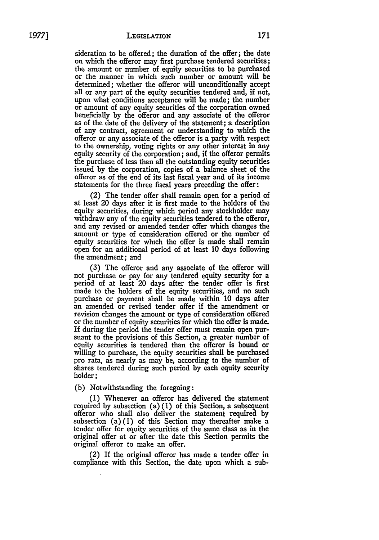sideration to be offered; the duration of the offer; the date on which the offeror may first purchase tendered securities; the amount or number of equity securities to be purchased or the manner in which such number or amount will be determined; whether the offeror will unconditionally accept all or any part of the equity securities tendered and, if not, upon what conditions acceptance will be made; the number or amount of any equity securities of the corporation owned beneficially **by** the offeror and any associate of the offeror as of the date of the delivery of the statement; a description of any contract, agreement or understanding to which the offeror or any associate of the offeror is a party with respect to the ownership, voting rights or any other interest in any equity security of the corporation; and, if the offeror permits the purchase of less than all the outstanding equity securities issued **by** the corporation, copies of a balance sheet of the offeror as of the end of its last fiscal year and of its income statements for the three fiscal years preceding the offer:

(2) The tender offer shall remain open for a period of at least 20 days after it is first made to the holders of the equity securities, during which period any stockholder may and any revised or amended tender offer which changes the amount or type of consideration offered or the number of equity securities for which the offer is made shall remain open for an additional period of at least **10** days following the amendment; and

(3) The offeror and any associate of the offeror will not purchase or pay for any tendered equity security for a period of at least 20 days after the tender offer is first made to the holders of the equity securities, and no such purchase or payment shall be made within 10 days after an amended or revised tender offer if the amendment or revision changes the amount or type of consideration offered or the number of equity securities for which the offer is made. If during the period the tender offer must remain open pursuant to the provisions of this Section, a greater number of equity securities is tendered than the offeror is bound or willing to purchase, the equity securities shall be purchased pro rata, as nearly as may be, according to the number of shares tendered during such period **by** each equity security holder;

#### **(b)** Notwithstanding the foregoing:

(1) Whenever an offeror has delivered the statement required by subsection (a) (1) of this Section, a subsequent offeror who shall also deliver the statement required by subsection (a) **(1)** of this Section may thereafter make a tender offer for equity securities of the same class as in the original offer at or after the date this Section permits the original offeror to make an offer.

(2) If the original offeror has made a tender offer in compliance with this Section, the date upon which a sub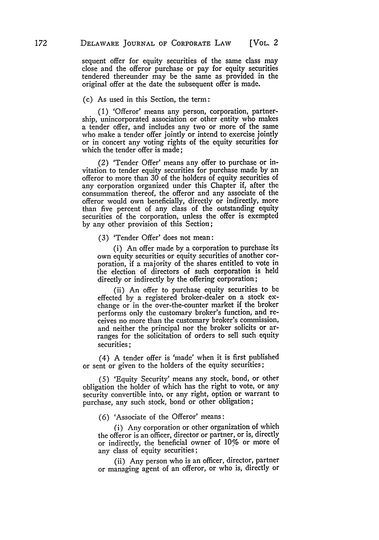sequent offer for equity securities of the same class may close and the offeror purchase or pay for equity securities tendered thereunder may be the same as provided in the original offer at the date the subsequent offer is made.

(c) As used in this Section, the term:

(1) 'Offeror' means any person, corporation, partnership, unincorporated association or other entity who makes a tender offer, and includes any two or more of the same who make a tender offer jointly or intend to exercise jointly or in concert any voting rights of the equity securities for which the tender offer is made;

(2) 'Tender Offer' means any offer to purchase or invitation to tender equity securities for purchase made by an offeror to more than 30 of the holders of equity securities of any corporation organized under this Chapter if, after the consummation thereof, the offeror and any associate of the offeror would own beneficially, directly or indirectly, more than five percent of any class of the outstanding equity securities of the corporation, unless the offer is exempted by any other provision of this Section;

(3) 'Tender Offer' does not mean:

(i) An offer made by a corporation to purchase its own equity securities or equity securities of another corporation, if a majority of the shares entitled to vote in the election of directors of such corporation is held directly or indirectly by the offering corporation;

(ii) An offer to purchase equity securities to be effected by a registered broker-dealer on a stock exchange or in the over-the-counter market if the broker performs only the customary broker's function, and receives no more than the customary broker's commission, and neither the principal nor the broker solicits or arranges for the solicitation of orders to sell such equity securities **;**

(4) A tender offer is 'made' when it is first published or sent or given to the holders of the equity securities;

(5) 'Equity Security' means any stock, bond, or other obligation the holder of which has the right to vote, or any security convertible into, or any right, option or warrant to purchase, any such stock, bond or other obligation;

(6) 'Associate of the Offeror' means:

(i) Any corporation or other organization of which the offeror is an officer, director or partner, or is, directly or indirectly, the beneficial owner of 10% or more of any class of equity securities;

(ii) Any person who is an officer, director, partner or managing agent of an offeror, or who is, directly or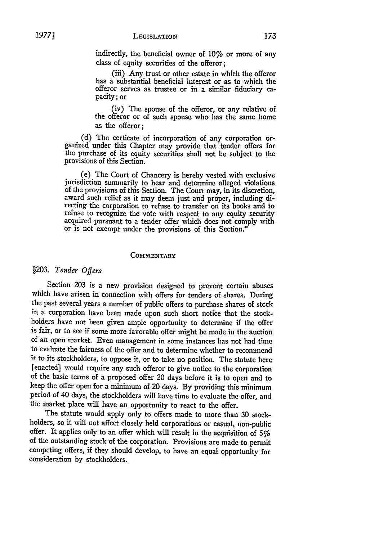173

indirectly, the beneficial owner of 10% or more of any class of equity securities of the offeror;

(iii) Any trust or other estate in which the offeror has a substantial beneficial interest or as to which the offeror serves as trustee or in a similar fiduciary capacity; or

(iv) The spouse of the offeror, or any relative of the offeror or of such spouse who has the same home as the offeror;

**(d)** The certicate of incorporation of any corporation or- ganized under this Chapter may provide that tender offers for the purchase of its equity securities shall not be subject to the provisions of this Section.

(e) The Court of Chancery is hereby vested with exclusive jurisdiction summarily to hear and determine alleged violations of the provisions of this Section. The Court may, in its discretion, award such relief as it may deem just and proper, including directing the corporation to refuse to transfer on its books and to refuse to recognize the vote with respect to any equity security acquired pursuant to a tender offer which does not comply with or is not exempt under the provisions of this Section."

#### **COMMENTARY**

#### *§203. Tender Offers*

Section 203 is a new provision designed to prevent certain abuses which have arisen in connection with offers for tenders of shares. During the past several years a number of public offers to purchase shares of stock in a corporation have been made upon such short notice that the stockholders have not been given ample opportunity to determine if the offer is fair, or to see if some more favorable offer might be made in the auction of an open market. Even management in some instances has not had time to evaluate the fairness of the offer and to determine whether to recommend it to its stockholders, to oppose it, or to take no position. The statute here [enacted] would require any such offeror to give notice to the corporation of the basic terms of a proposed offer 20 days before it is to open and to keep the offer open for a minimum of 20 days. **By** providing this minimum period of 40 days, the stockholders will have time to evaluate the offer, and the market place will have an opportunity to react to the offer.

The statute would apply only to offers made to more than 30 stockholders, so it will not affect closely held corporations or casual, non-public offer. It applies only to an offer which will result in the acquisition of 5% of the outstanding stock of the corporation. Provisions are made to permit competing offers, if they should develop, to have an equal opportunity for consideration **by** stockholders.